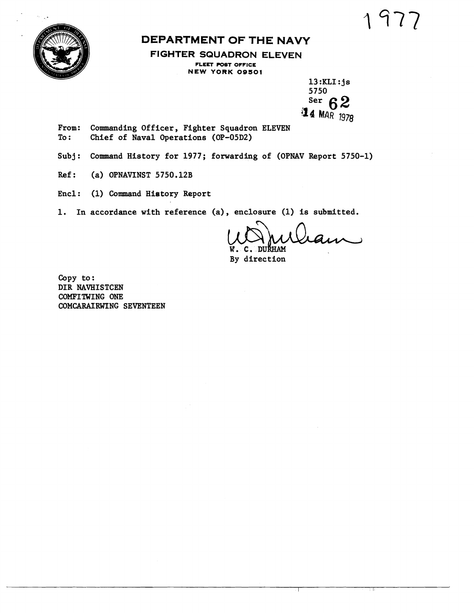

## **DEPARTMENT OF THE NAVY**

**FIGHTER SQUADRON ELEVEN FLEET POST OFFICE NEW YORK 09501** 

> 13 :KLI : **j** s 5750<br>Ser 6 ser **6 2 Q4 M~R** 19,

From: Commanding Officer, Fighter Squadron ELEVEN<br>To: Chief of Naval Operations (OP-05D2) Chief of Naval Operations (OP-05D2)

- Subj: Command History for 1977; forwarding of (OPNAV Report 5750-1)
- Ref: (a) OPNAVINST 5750.12B
- Encl : (1) Command History Report

1. In accordance with reference **(a),** enclosure (1) is submitted.

W. C. DURHAM<br>By direction

Copy to : DIR NAVHISTCEN COMFITWING ONE CONCARAIRWING SEVENTEEN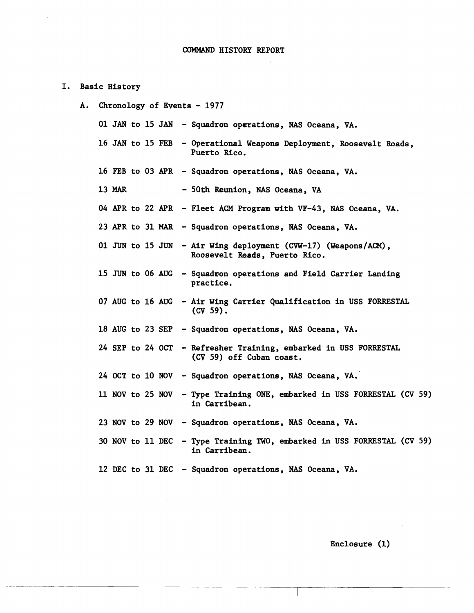- I. Basic History
	- A. Chronology of Events 1977
		- 01 JAN to 15 JAN Squadron operations, **NAS** Oceana, VA.
		- 16 JAN to 15 FEB Operational Weapons Deployment, Roosevelt Roads, Puerto Rico.
		- 16 FEB to 03 APR Squadron operations, NAS Oceana, VA.
		- 13 MAR 50th Reunion, NAS Oceana, VA
		- 04 APR to 22 **APR**  Fleet **ACM** Program with VF-43, NAS Oceana, VA.
		- 23 APR to 31 MAR Squadron operations, NAS Oceana, VA.
		- <sup>01</sup>JUN to 15 JUN Air Wing deployment (CVW-17) (Weapons/ACM), Roosevelt **bade,** Puerto Rico.
		- 15 JUN to 06 AUG Squadron operations and Field Carrier Landing practice.
		- 07 AUG to 16 AUG Air Wing Carrier Qualification in USS FORRESTAL **(cv** 59).
		- 18 AUG to 23 SEP Squadron operations, NAS Oceana, VA.
		- 24 SEP to 24 OCT Refresher Training, embarked in USS FORRESTAL **(CV** 59) off Cuban coast,
		- 24 OCT to 10 NOV Squadron operations, NAS Oceana, VA,
		- 11 NOV to 25 NOV Type Training ONE, embarked in USS FORRESTAL (CV 59) in Carribean.
		- 23 NOV to 29 NOV Squadron operations, NAS Oceana, VA.
		- 30 NOV to 11 DEC Type Training TWO, embarked in USS FORRESTAL (CV 59) in Carribean.
		- 12 DEC to 31 DEC Squadron operations, **NAS** Oceana, VA.

Enclosure (1)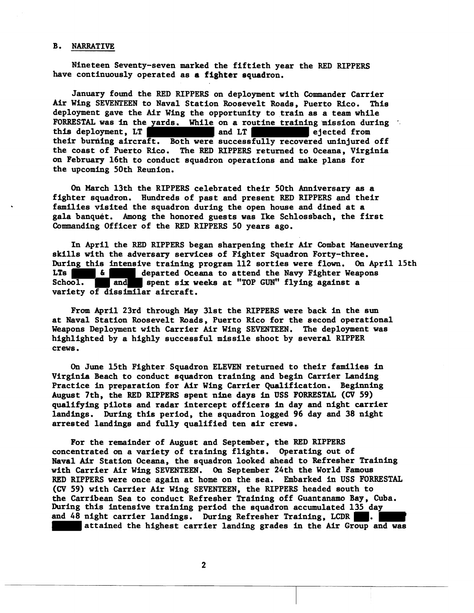## B. NARRATIVE

Nineteen Seventy-seven marked the fiftieth year the RED RIPPERS have continuously operated as **a** fighter squadron.

January found the RED RIPPERS on deployment with Commander Carrier Air Wing SEVENTEEN to Naval Station Roosevelt Roads, Puerto Rico. This deployment gave the Air Wing the opportunity to train as a team while FORRESTAL was in the yards. While on a routine training mission during this deployment, LT and LT and LT ejected from this deployment. LT their burning aircraft. Both were successfully recovered uninjured off the coast of Puerto **Rico.** The RED RIPPERS returned to Oceana, Virginia on February 16th to conduct squadron operations and make plans for the upcoming 50th Reunion.

**On** March 13th the RIPPERS celebrated their 50th Anniversary as a fighter squadron. Hundreds of past and present RED RIPPERS and their families visited the squadron during the open house and dined at a gala banquet. Among the honored guests was Ike Schlossbach, the first Commanding Officer of the RED RIPPERS 50 years ago.

In April the RED RIPPERS began sharpening their Air Combat Maneuvering skills with the adversary services of Fighter Squadron Forty-three. During this intensive training program 112 sorties were flown. On April 15th LTs **EXECUTE:**  $\ddot{\mathbf{a}}$  departed Oceana to attend the Navy Fighter Weapons LTs **6 departed Oceana to attend the Navy Fighter Weapons** School. **and** spent six weeks at "TOP GUN" flying against a variety of dissimilar aircraft.

From April 23rd through May 31st the RIPPERS were back in the sun at Naval Station Roosevelt Roads, Puerto Rico for the second operational Weapons Deployment with Carrier Air Wing SEVENTEEN. The deployment was highlighted by a highly successful missile shoot by several RIPPER crews.

**On** June 15th Fighter Squadron ELEVEN returned to their families in Virginia Beach to conduct squadron training and begin Carrier Landing Practice in preparation for Air Wing Carrier Qualification. Beginning August 7th, the RED RIPPERS spent nine days in USS FORRESTAL (CV 59) qualifying pilots and radar intercept officers **in** day and night carrier landings. During this period, the squadron logged 96 day and 38 night arrested landings and fully qualified ten air crews.

For the remainder of August and September, the RED RIPPERS concentrated on a variety of training flights. Operating out of Naval **Air** Station Oceana, the squadron looked ahead to Refresher Training with Carrier Air **Wing** SEVENTEEN. **On** September 24th the World Famous RED RIPPERS were once again at home on the sea. Embarked in **USS** FORRESTAL (CV 59) with Carrier Air Wing SEVENTEEN, the RIPPERS headed south to the Carribean Sea to conduct Refresher Training off Guantanamo Bay, Cuba. During this intensive training period the squadron accumulated 135 day and 48 night carrier landings. During Refresher Training, LCDR attained the highest carrier landing grades in the **Air** Group and was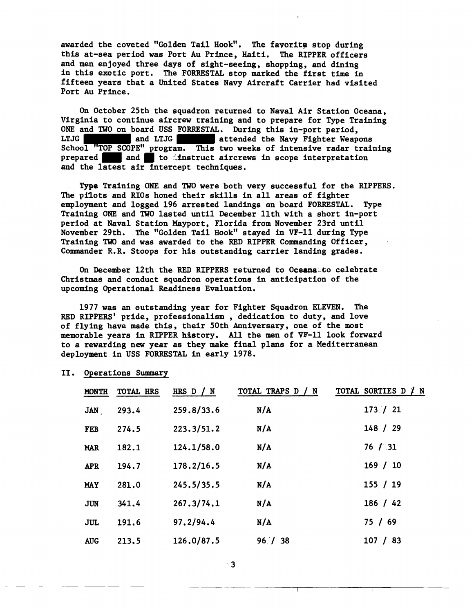awarded the coveted "Golden Tail Hook", The favorite stop during this at-sea period was Port Au Prince, Haiti. The RIPPER officers and men enjoyed three days of sight-seeing, shopping, and dining in this exotic port. The FORRESTAL stop marked the first time in fifteen years that a United States Navy Aircraft Carrier had visited Port Au Prince.

**On** October 25th the squadron returned to Naval Air Station Oceana, Virginia to continue aircrew training and to prepare for Type Training ONE and TWO on board USS FORRESTAL. During this in-port period, LTJG and LTJG and LTJG attended the Navy Fighter Weap LTJG and LTJG attended the Navy Fighter Weapons School "TOP SCOPE" program. This two weeks of intensive radar training prepared and to instruct aircrews in scope interpretation and the latest air intercept techniques.

Type Training ONE and TWO were both very successful for the RIPPERS. The pilots and RIOs honed their skills in all areas of fighter employment and logged 196 arrested landings en board FORRESTAL. Type Training ONE and TWO lasted until December 11th with a short in-port period at Naval Station Mayport, Florida from November 23rd until November 29th. The "Golden Tail Hook" stayed in VF-11 during Type Training TWO and was awarded to the RED RIPPER Commanding Officer, Commander R,R, Stoops for his outstanding carrier landing grades.

On December 12th the RED RIPPERS returned to Oceana-to celebrate Christmas and conduct squadron operations in anticipation of the upcoming Operational Readiness Evaluation.

1977 was an outstanding year for Fighter Squadron ELEVEN, The RED RIPPERS' pride, professionalism , dedication to duty, and love of flying have made this, their 50th Anniversary, one of the most memorable years in RIPPER history. All the men of YF-11 look forward to a rewarding new year as they **make** final plans for a Mediterranean deployment in USS FORRESTAL in early 1978.

| <b>MONTH</b> | TOTAL HRS | HRS D / N    | TOTAL TRAPS D / N | TOTAL SORTIES D / N |
|--------------|-----------|--------------|-------------------|---------------------|
| <b>JAN</b>   | 293.4     | 259.8/33.6   | N/A               | 173/21              |
| <b>FEB</b>   | 274.5     | 223.3/51.2   | N/A               | 148 / 29            |
| <b>MAR</b>   | 182.1     | 124.1/58.0   | N/A               | 76 / 31             |
| <b>APR</b>   | 194.7     | 178,2/16.5   | N/A               | 169 / 10            |
| <b>MAY</b>   | 281.0     | 245, 5/35, 5 | N/A               | 155 / 19            |
| <b>JUN</b>   | 341.4     | 267.3/74.1   | N/A               | 186 / 42            |
| JUL          | 191.6     | 97,2/94.4    | N/A               | 75/69               |
| <b>AUG</b>   | 213,5     | 126.0/87.5   | 96 / 38           | 107 / 83            |

11. Operations Summary

 $^{\circ}$  3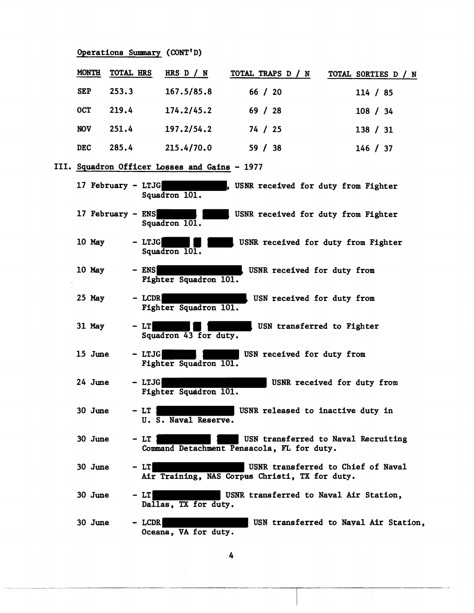|            | Operations Summary (CONT'D) |                                               |                                                |                                       |
|------------|-----------------------------|-----------------------------------------------|------------------------------------------------|---------------------------------------|
| MONTH      | TOTAL HRS                   | HRS $D / N$                                   | TOTAL TRAPS D / N                              | TOTAL SORTIES D / N                   |
| <b>SEP</b> | 253.3                       | 167.5/85.8                                    | 66 / 20                                        | 114 / 85                              |
| <b>OCT</b> | 219.4                       | 174.2/45.2                                    | 69 / 28                                        | 108 / 34                              |
| <b>NOV</b> | 251.4                       | 197.2/54.2                                    | 74 / 25                                        | 138 / 31                              |
| <b>DEC</b> | 285.4                       | 215.4/70.0                                    | 59 / 38                                        | 146 / 37                              |
|            |                             | III. Squadron Officer Losses and Gains - 1977 |                                                |                                       |
|            | 17 February - LTJG          | Squadron 101.                                 | USNR received for duty from Fighter            |                                       |
|            | 17 February - ENS           | Squadron 101.                                 | USNR received for duty from Fighter            |                                       |
| 10 May     | - LTJG                      | Squadron 101.                                 | USNR received for duty from Fighter            |                                       |
| 10 May     | $-$ ENS                     | Fighter Squadron 101.                         | USNR received for duty from                    |                                       |
| $25$ May   | $-$ LCDR                    | Fighter Squadron 101.                         | USN received for duty from                     |                                       |
| 31 May     | $-LI$                       | Squadron 43 for duty.                         | USN transferred to Fighter                     |                                       |
| 15 June    | - LTJG                      | Fighter Squadron 101.                         | USN received for duty from                     |                                       |
| 24 June    | - LTJG                      | Fighter Squadron 101.                         |                                                | USNR received for duty from           |
| 30 June    | $-LT$                       | U. S. Naval Reserve.                          | USNR released to inactive duty in              |                                       |
| 30 June    | - LT                        |                                               | Command Detachment Pensacola, FL for duty.     | USN transferred to Naval Recruiting   |
| 30 June    | $-LT$                       |                                               | Air Training, NAS Corpus Christi, TX for duty. | USNR transferred to Chief of Naval    |
| 30 June    | - LT                        | Dallas, TX for duty.                          | USNR transferred to Naval Air Station,         |                                       |
| 30 June    | $-$ LCDR                    | Oceana, VA for duty.                          |                                                | USN transferred to Nayal Air Station, |

 $\frac{1}{2}$ 

J.

 $\mathcal{A}^{\pm}$